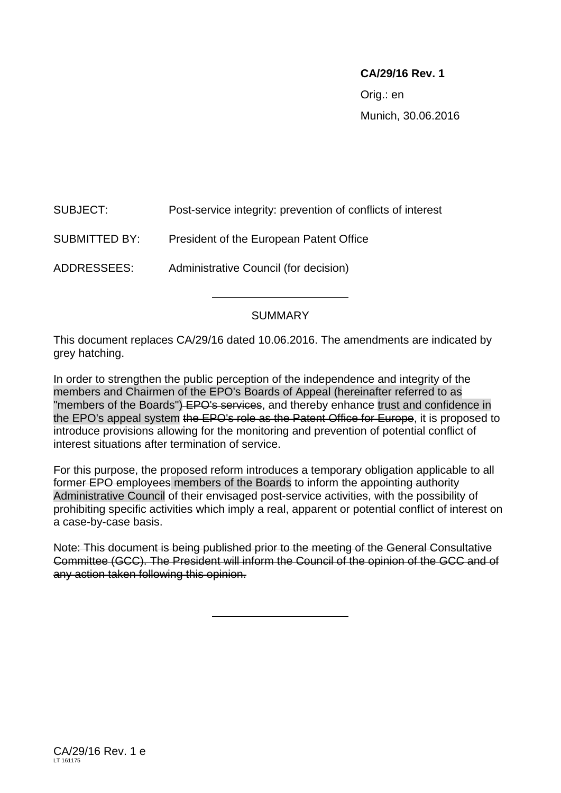## **CA/29/16 Rev. 1**

Orig.: en Munich, 30.06.2016

SUBJECT: Post-service integrity: prevention of conflicts of interest

# SUBMITTED BY: President of the European Patent Office

ADDRESSEES: Administrative Council (for decision)

### SUMMARY

This document replaces CA/29/16 dated 10.06.2016. The amendments are indicated by grey hatching.

In order to strengthen the public perception of the independence and integrity of the members and Chairmen of the EPO's Boards of Appeal (hereinafter referred to as "members of the Boards") EPO's services, and thereby enhance trust and confidence in the EPO's appeal system the EPO's role as the Patent Office for Europe, it is proposed to introduce provisions allowing for the monitoring and prevention of potential conflict of interest situations after termination of service.

For this purpose, the proposed reform introduces a temporary obligation applicable to all former EPO employees members of the Boards to inform the appointing authority Administrative Council of their envisaged post-service activities, with the possibility of prohibiting specific activities which imply a real, apparent or potential conflict of interest on a case-by-case basis.

Note: This document is being published prior to the meeting of the General Consultative Committee (GCC). The President will inform the Council of the opinion of the GCC and of any action taken following this opinion.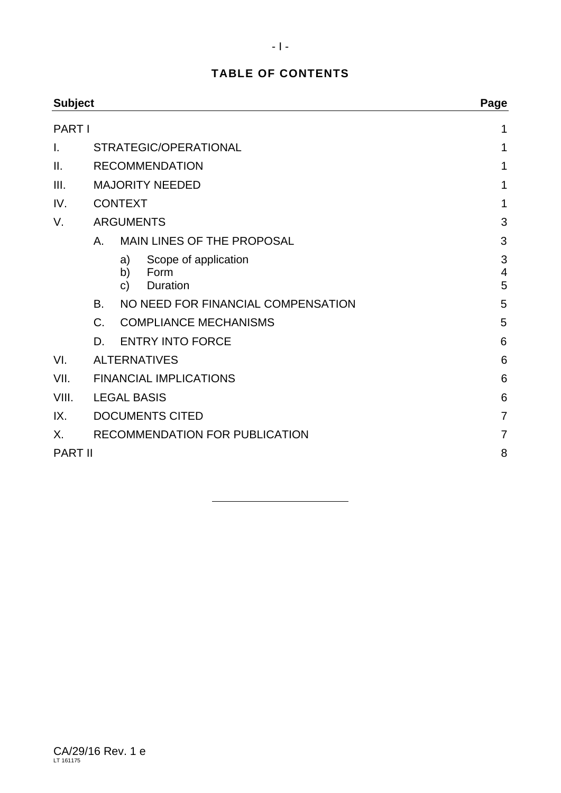# **TABLE OF CONTENTS**

| <b>Subject</b><br><b>PART I</b> |                                                 |                       |                                                 | Page                     |  |
|---------------------------------|-------------------------------------------------|-----------------------|-------------------------------------------------|--------------------------|--|
|                                 |                                                 |                       |                                                 | 1                        |  |
| I.                              | STRATEGIC/OPERATIONAL                           |                       |                                                 | 1                        |  |
| II.                             |                                                 | <b>RECOMMENDATION</b> | 1                                               |                          |  |
| III.                            | <b>MAJORITY NEEDED</b>                          |                       |                                                 | 1                        |  |
| IV.                             | <b>CONTEXT</b>                                  |                       |                                                 | 1                        |  |
| V.                              |                                                 | <b>ARGUMENTS</b>      | 3                                               |                          |  |
|                                 | А.                                              |                       | MAIN LINES OF THE PROPOSAL                      | 3                        |  |
|                                 |                                                 | a)<br>b)<br>C)        | Scope of application<br>Form<br><b>Duration</b> | 3<br>$\overline{4}$<br>5 |  |
|                                 | NO NEED FOR FINANCIAL COMPENSATION<br><b>B.</b> |                       | 5                                               |                          |  |
|                                 | <b>COMPLIANCE MECHANISMS</b><br>$C_{\cdot}$     |                       | 5                                               |                          |  |
|                                 | D.                                              |                       | <b>ENTRY INTO FORCE</b>                         | 6                        |  |
| VI.                             | <b>ALTERNATIVES</b>                             |                       |                                                 | 6                        |  |
| VII.                            | <b>FINANCIAL IMPLICATIONS</b>                   |                       |                                                 | 6                        |  |
| VIII.                           | <b>LEGAL BASIS</b>                              |                       |                                                 | 6                        |  |
| IX.                             | <b>DOCUMENTS CITED</b>                          |                       |                                                 | $\overline{7}$           |  |
| Χ.                              | RECOMMENDATION FOR PUBLICATION                  | 7                     |                                                 |                          |  |
| <b>PART II</b>                  |                                                 |                       |                                                 | 8                        |  |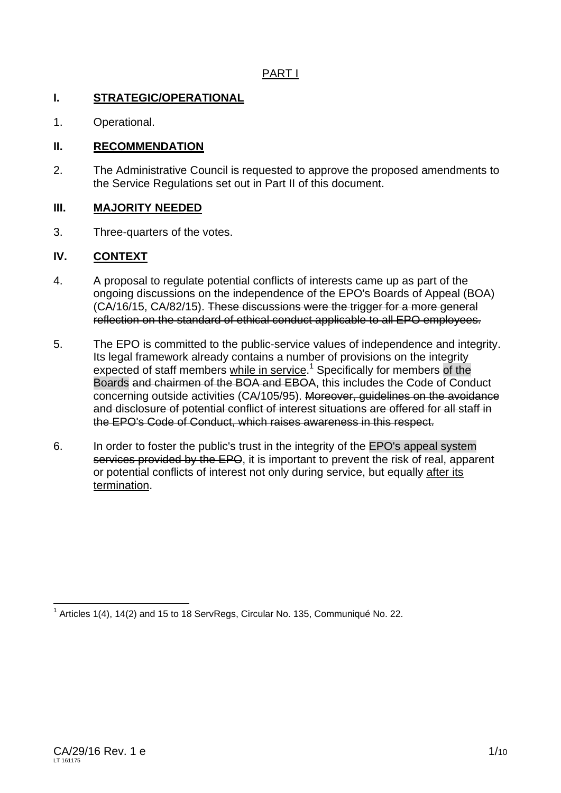## PART I

#### **I. STRATEGIC/OPERATIONAL**

1. Operational.

### **II. RECOMMENDATION**

2. The Administrative Council is requested to approve the proposed amendments to the Service Regulations set out in Part II of this document.

#### **III. MAJORITY NEEDED**

3. Three-quarters of the votes.

### **IV. CONTEXT**

- 4. A proposal to regulate potential conflicts of interests came up as part of the ongoing discussions on the independence of the EPO's Boards of Appeal (BOA) (CA/16/15, CA/82/15). These discussions were the trigger for a more general reflection on the standard of ethical conduct applicable to all EPO employees.
- 5. The EPO is committed to the public-service values of independence and integrity. Its legal framework already contains a number of provisions on the integrity expected of staff members while in service.<sup>1</sup> Specifically for members of the Boards and chairmen of the BOA and EBOA, this includes the Code of Conduct concerning outside activities (CA/105/95). Moreover, guidelines on the avoidance and disclosure of potential conflict of interest situations are offered for all staff in the EPO's Code of Conduct, which raises awareness in this respect.
- 6. In order to foster the public's trust in the integrity of the EPO's appeal system services provided by the EPO, it is important to prevent the risk of real, apparent or potential conflicts of interest not only during service, but equally after its termination.

 1 Articles 1(4), 14(2) and 15 to 18 ServRegs, Circular No. 135, Communiqué No. 22.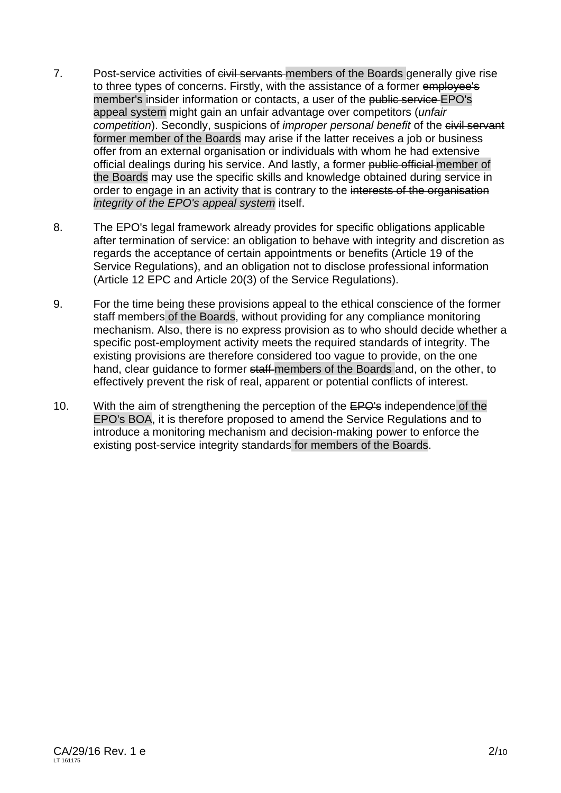- 7. Post-service activities of eivil servants members of the Boards generally give rise to three types of concerns. Firstly, with the assistance of a former employee's member's insider information or contacts, a user of the public service EPO's appeal system might gain an unfair advantage over competitors (*unfair competition*). Secondly, suspicions of *improper personal benefit* of the civil servant former member of the Boards may arise if the latter receives a job or business offer from an external organisation or individuals with whom he had extensive official dealings during his service. And lastly, a former public official member of the Boards may use the specific skills and knowledge obtained during service in order to engage in an activity that is contrary to the interests of the organisation *integrity of the EPO's appeal system* itself.
- 8. The EPO's legal framework already provides for specific obligations applicable after termination of service: an obligation to behave with integrity and discretion as regards the acceptance of certain appointments or benefits (Article 19 of the Service Regulations), and an obligation not to disclose professional information (Article 12 EPC and Article 20(3) of the Service Regulations).
- 9. For the time being these provisions appeal to the ethical conscience of the former staff members of the Boards, without providing for any compliance monitoring mechanism. Also, there is no express provision as to who should decide whether a specific post-employment activity meets the required standards of integrity. The existing provisions are therefore considered too vague to provide, on the one hand, clear guidance to former staff members of the Boards and, on the other, to effectively prevent the risk of real, apparent or potential conflicts of interest.
- 10. With the aim of strengthening the perception of the EPO's independence of the EPO's BOA, it is therefore proposed to amend the Service Regulations and to introduce a monitoring mechanism and decision-making power to enforce the existing post-service integrity standards for members of the Boards.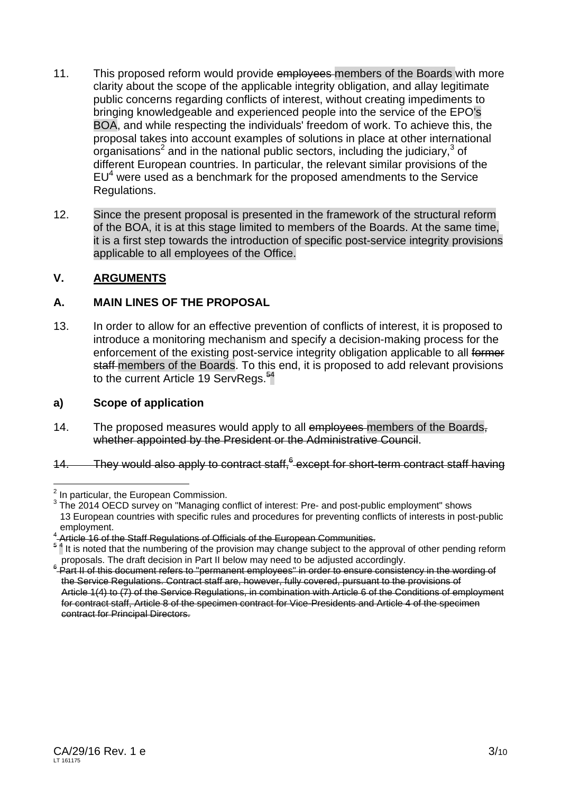- 11. This proposed reform would provide emplovees members of the Boards with more clarity about the scope of the applicable integrity obligation, and allay legitimate public concerns regarding conflicts of interest, without creating impediments to bringing knowledgeable and experienced people into the service of the EPO's BOA, and while respecting the individuals' freedom of work. To achieve this, the proposal takes into account examples of solutions in place at other international organisations<sup>2</sup> and in the national public sectors, including the judiciary,<sup>3</sup> of different European countries. In particular, the relevant similar provisions of the  $EU<sup>4</sup>$  were used as a benchmark for the proposed amendments to the Service Regulations.
- 12. Since the present proposal is presented in the framework of the structural reform of the BOA, it is at this stage limited to members of the Boards. At the same time, it is a first step towards the introduction of specific post-service integrity provisions applicable to all employees of the Office.

### **V. ARGUMENTS**

### **A. MAIN LINES OF THE PROPOSAL**

13. In order to allow for an effective prevention of conflicts of interest, it is proposed to introduce a monitoring mechanism and specify a decision-making process for the enforcement of the existing post-service integrity obligation applicable to all former staff members of the Boards. To this end, it is proposed to add relevant provisions to the current Article 19 ServRegs.<sup>54</sup>

### **a) Scope of application**

- 14. The proposed measures would apply to all employees members of the Boards, whether appointed by the President or the Administrative Council.
- 14. They would also apply to contract staff,<sup>6</sup> except for short-term contract staff having

 $\overline{a}$  $2$  In particular, the European Commission.

 $3$  The 2014 OECD survey on "Managing conflict of interest: Pre- and post-public employment" shows 13 European countries with specific rules and procedures for preventing conflicts of interests in post-public

employment.<br><sup>4</sup> Article 16 of the Staff Regulations of Officials of the European Communities.

<sup>&</sup>lt;sup>5</sup><sup>4</sup> It is noted that the numbering of the provision may change subject to the approval of other pending reform proposals. The draft decision in Part II below may need to be adjusted accordingly.

<sup>&</sup>lt;sup>6</sup> Part II of this document refers to "permanent employees" in order to ensure consistency in the wording of the Service Regulations. Contract staff are, however, fully covered, pursuant to the provisions of Article 1(4) to (7) of the Service Regulations, in combination with Article 6 of the Conditions of employment for contract staff, Article 8 of the specimen contract for Vice-Presidents and Article 4 of the specimen contract for Principal Directors.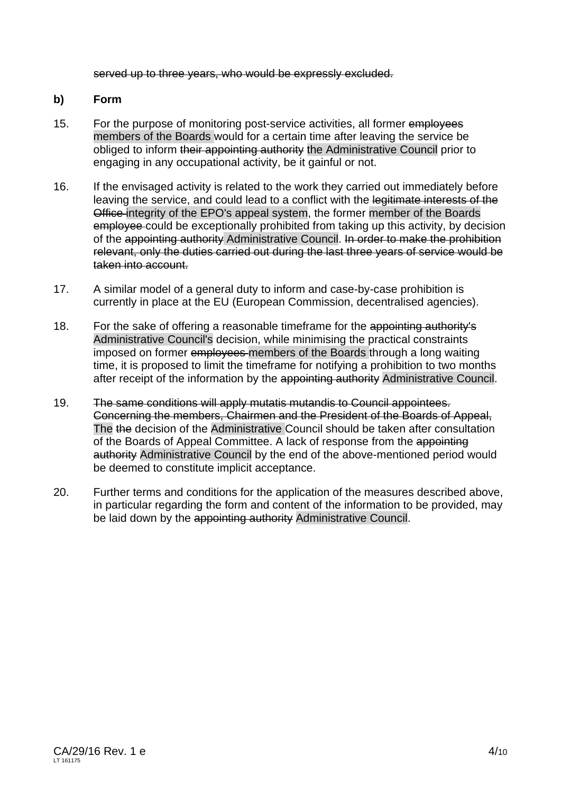served up to three years, who would be expressly excluded.

#### **b) Form**

- 15. For the purpose of monitoring post-service activities, all former employees members of the Boards would for a certain time after leaving the service be obliged to inform their appointing authority the Administrative Council prior to engaging in any occupational activity, be it gainful or not.
- 16. If the envisaged activity is related to the work they carried out immediately before leaving the service, and could lead to a conflict with the legitimate interests of the Office integrity of the EPO's appeal system, the former member of the Boards employee could be exceptionally prohibited from taking up this activity, by decision of the appointing authority Administrative Council. In order to make the prohibition relevant, only the duties carried out during the last three years of service would be taken into account.
- 17. A similar model of a general duty to inform and case-by-case prohibition is currently in place at the EU (European Commission, decentralised agencies).
- 18. For the sake of offering a reasonable timeframe for the appointing authority's Administrative Council's decision, while minimising the practical constraints imposed on former employees members of the Boards through a long waiting time, it is proposed to limit the timeframe for notifying a prohibition to two months after receipt of the information by the appointing authority Administrative Council.
- 19. The same conditions will apply mutatis mutandis to Council appointees. Concerning the members, Chairmen and the President of the Boards of Appeal, The the decision of the Administrative Council should be taken after consultation of the Boards of Appeal Committee. A lack of response from the appointing authority Administrative Council by the end of the above-mentioned period would be deemed to constitute implicit acceptance.
- 20. Further terms and conditions for the application of the measures described above, in particular regarding the form and content of the information to be provided, may be laid down by the appointing authority Administrative Council.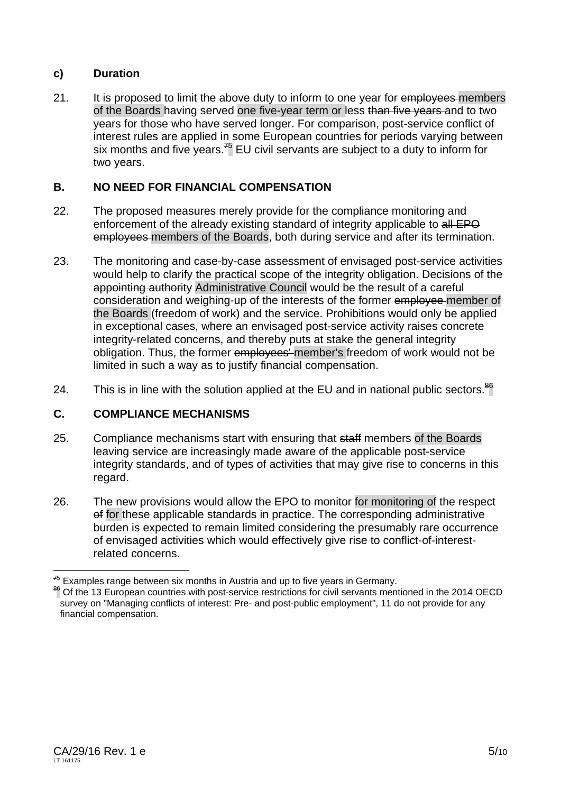## **c) Duration**

21. It is proposed to limit the above duty to inform to one year for employees members of the Boards having served one five-year term or less than five years and to two years for those who have served longer. For comparison, post-service conflict of interest rules are applied in some European countries for periods varying between six months and five years.<sup>75</sup> EU civil servants are subject to a duty to inform for two years.

## **B. NO NEED FOR FINANCIAL COMPENSATION**

- 22. The proposed measures merely provide for the compliance monitoring and enforcement of the already existing standard of integrity applicable to all EPO employees members of the Boards, both during service and after its termination.
- 23. The monitoring and case-by-case assessment of envisaged post-service activities would help to clarify the practical scope of the integrity obligation. Decisions of the appointing authority Administrative Council would be the result of a careful consideration and weighing-up of the interests of the former employee member of the Boards (freedom of work) and the service. Prohibitions would only be applied in exceptional cases, where an envisaged post-service activity raises concrete integrity-related concerns, and thereby puts at stake the general integrity obligation. Thus, the former employees' member's freedom of work would not be limited in such a way as to justify financial compensation.
- 24. This is in line with the solution applied at the EU and in national public sectors.<sup>86</sup>

### **C. COMPLIANCE MECHANISMS**

- 25. Compliance mechanisms start with ensuring that staff members of the Boards leaving service are increasingly made aware of the applicable post-service integrity standards, and of types of activities that may give rise to concerns in this regard.
- 26. The new provisions would allow the EPO to monitor for monitoring of the respect of for these applicable standards in practice. The corresponding administrative burden is expected to remain limited considering the presumably rare occurrence of envisaged activities which would effectively give rise to conflict-of-interestrelated concerns.

<sup>&</sup>lt;sup>75</sup> Examples range between six months in Austria and up to five years in Germany.

<sup>&</sup>lt;sup>86</sup> Of the 13 European countries with post-service restrictions for civil servants mentioned in the 2014 OECD survey on "Managing conflicts of interest: Pre- and post-public employment", 11 do not provide for any financial compensation.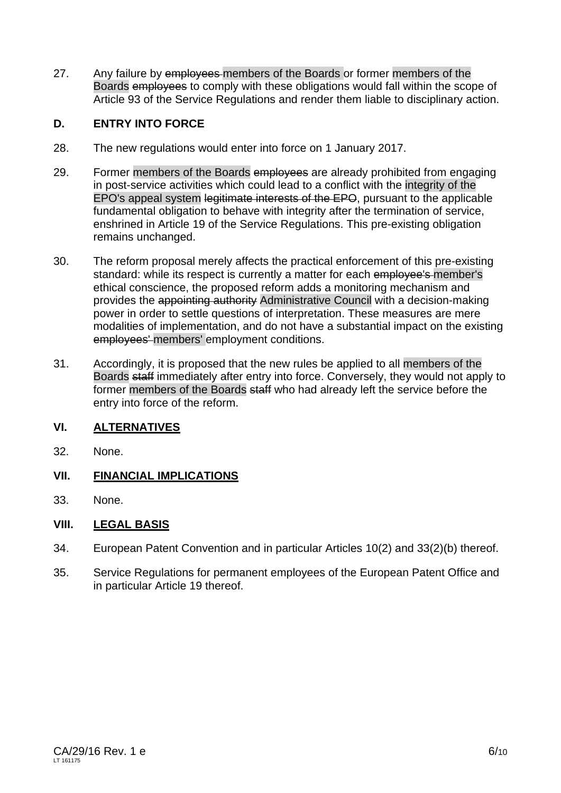27. Any failure by employees members of the Boards or former members of the Boards employees to comply with these obligations would fall within the scope of Article 93 of the Service Regulations and render them liable to disciplinary action.

# **D. ENTRY INTO FORCE**

- 28. The new regulations would enter into force on 1 January 2017.
- 29. Former members of the Boards employees are already prohibited from engaging in post-service activities which could lead to a conflict with the integrity of the EPO's appeal system legitimate interests of the EPO, pursuant to the applicable fundamental obligation to behave with integrity after the termination of service, enshrined in Article 19 of the Service Regulations. This pre-existing obligation remains unchanged.
- 30. The reform proposal merely affects the practical enforcement of this pre-existing standard: while its respect is currently a matter for each employee's member's ethical conscience, the proposed reform adds a monitoring mechanism and provides the appointing authority Administrative Council with a decision-making power in order to settle questions of interpretation. These measures are mere modalities of implementation, and do not have a substantial impact on the existing employees' members' employment conditions.
- 31. Accordingly, it is proposed that the new rules be applied to all members of the Boards staff immediately after entry into force. Conversely, they would not apply to former members of the Boards staff who had already left the service before the entry into force of the reform.

### **VI. ALTERNATIVES**

32. None.

### **VII. FINANCIAL IMPLICATIONS**

33. None.

### **VIII. LEGAL BASIS**

- 34. European Patent Convention and in particular Articles 10(2) and 33(2)(b) thereof.
- 35. Service Regulations for permanent employees of the European Patent Office and in particular Article 19 thereof.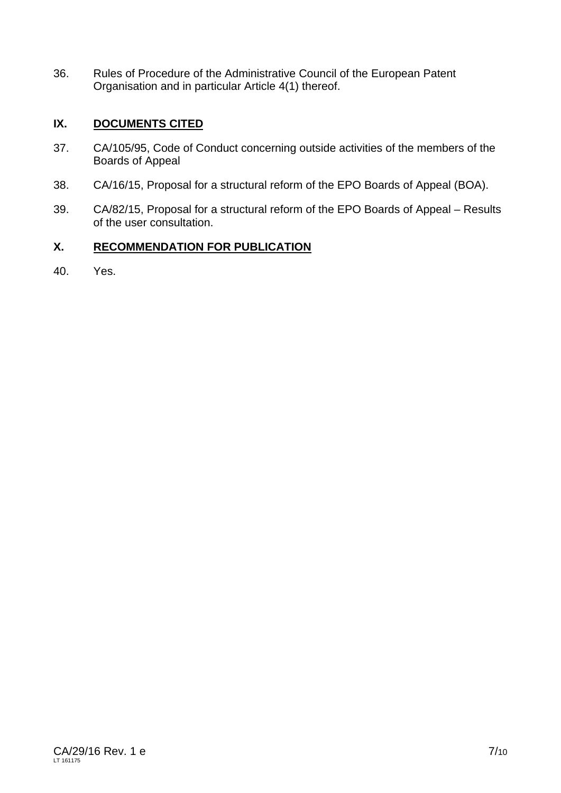36. Rules of Procedure of the Administrative Council of the European Patent Organisation and in particular Article 4(1) thereof.

# **IX. DOCUMENTS CITED**

- 37. CA/105/95, Code of Conduct concerning outside activities of the members of the Boards of Appeal
- 38. CA/16/15, Proposal for a structural reform of the EPO Boards of Appeal (BOA).
- 39. CA/82/15, Proposal for a structural reform of the EPO Boards of Appeal Results of the user consultation.

# **X. RECOMMENDATION FOR PUBLICATION**

40. Yes.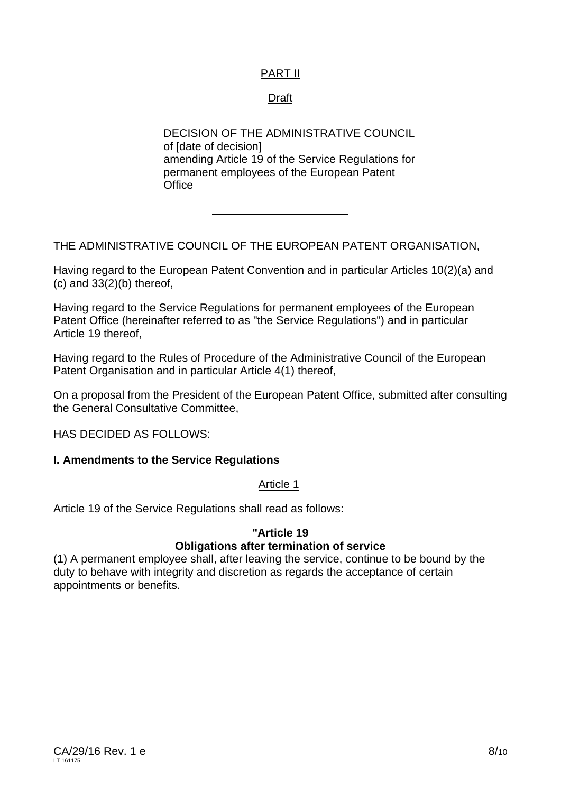# PART II

### Draft

DECISION OF THE ADMINISTRATIVE COUNCIL of [date of decision] amending Article 19 of the Service Regulations for permanent employees of the European Patent **Office** 

THE ADMINISTRATIVE COUNCIL OF THE EUROPEAN PATENT ORGANISATION,

Having regard to the European Patent Convention and in particular Articles 10(2)(a) and  $(c)$  and  $33(2)(b)$  thereof,

Having regard to the Service Regulations for permanent employees of the European Patent Office (hereinafter referred to as "the Service Regulations") and in particular Article 19 thereof,

Having regard to the Rules of Procedure of the Administrative Council of the European Patent Organisation and in particular Article 4(1) thereof,

On a proposal from the President of the European Patent Office, submitted after consulting the General Consultative Committee,

HAS DECIDED AS FOLLOWS:

#### **I. Amendments to the Service Regulations**

#### Article 1

Article 19 of the Service Regulations shall read as follows:

#### **"Article 19**

### **Obligations after termination of service**

(1) A permanent employee shall, after leaving the service, continue to be bound by the duty to behave with integrity and discretion as regards the acceptance of certain appointments or benefits.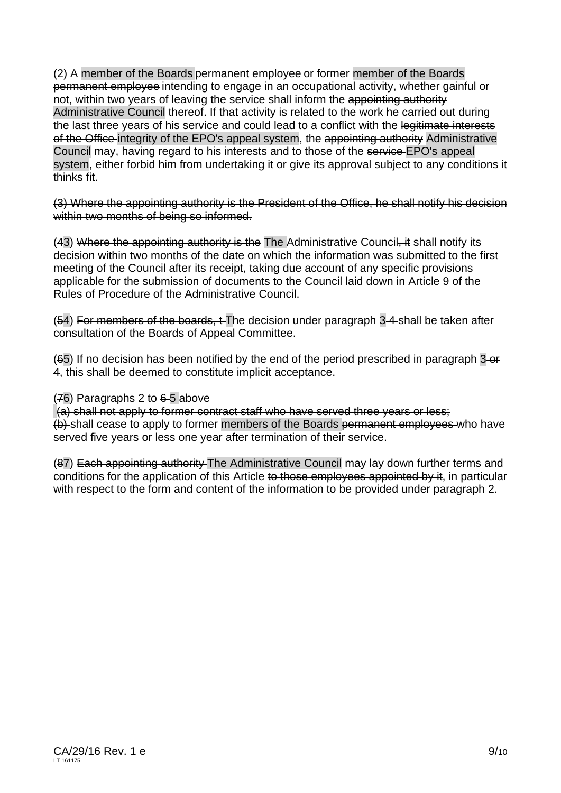(2) A member of the Boards permanent employee or former member of the Boards permanent employee intending to engage in an occupational activity, whether gainful or not, within two years of leaving the service shall inform the appointing authority Administrative Council thereof. If that activity is related to the work he carried out during the last three years of his service and could lead to a conflict with the legitimate interests of the Office-integrity of the EPO's appeal system, the appointing authority Administrative Council may, having regard to his interests and to those of the service EPO's appeal system, either forbid him from undertaking it or give its approval subject to any conditions it thinks fit.

(3) Where the appointing authority is the President of the Office, he shall notify his decision within two months of being so informed.

(43) Where the appointing authority is the The Administrative Council, it shall notify its decision within two months of the date on which the information was submitted to the first meeting of the Council after its receipt, taking due account of any specific provisions applicable for the submission of documents to the Council laid down in Article 9 of the Rules of Procedure of the Administrative Council.

(54) For members of the boards, t The decision under paragraph 3 4 shall be taken after consultation of the Boards of Appeal Committee.

(65) If no decision has been notified by the end of the period prescribed in paragraph 3 or 4, this shall be deemed to constitute implicit acceptance.

 $(76)$  Paragraphs 2 to  $6-5$  above

 (a) shall not apply to former contract staff who have served three years or less; (b) shall cease to apply to former members of the Boards permanent employees who have served five years or less one year after termination of their service.

(87) Each appointing authority The Administrative Council may lay down further terms and conditions for the application of this Article to those employees appointed by it, in particular with respect to the form and content of the information to be provided under paragraph 2.